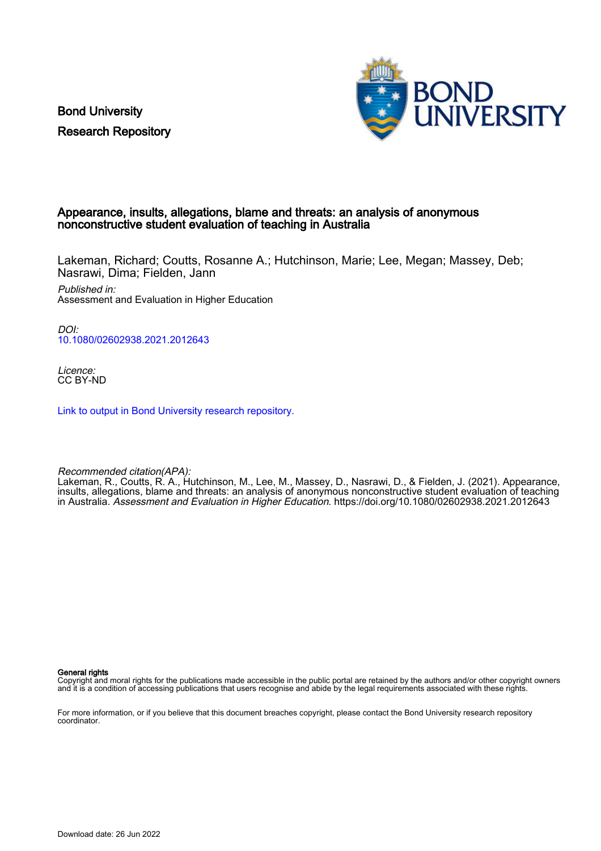Bond University Research Repository



### Appearance, insults, allegations, blame and threats: an analysis of anonymous nonconstructive student evaluation of teaching in Australia

Lakeman, Richard; Coutts, Rosanne A.; Hutchinson, Marie; Lee, Megan; Massey, Deb; Nasrawi, Dima; Fielden, Jann

Published in: Assessment and Evaluation in Higher Education

DOI: [10.1080/02602938.2021.2012643](https://doi.org/10.1080/02602938.2021.2012643)

Licence: CC BY-ND

[Link to output in Bond University research repository.](https://research.bond.edu.au/en/publications/e9071309-42d2-4675-81df-790f0b7d29b9)

Recommended citation(APA):

Lakeman, R., Coutts, R. A., Hutchinson, M., Lee, M., Massey, D., Nasrawi, D., & Fielden, J. (2021). Appearance, insults, allegations, blame and threats: an analysis of anonymous nonconstructive student evaluation of teaching in Australia. Assessment and Evaluation in Higher Education. <https://doi.org/10.1080/02602938.2021.2012643>

General rights

Copyright and moral rights for the publications made accessible in the public portal are retained by the authors and/or other copyright owners and it is a condition of accessing publications that users recognise and abide by the legal requirements associated with these rights.

For more information, or if you believe that this document breaches copyright, please contact the Bond University research repository coordinator.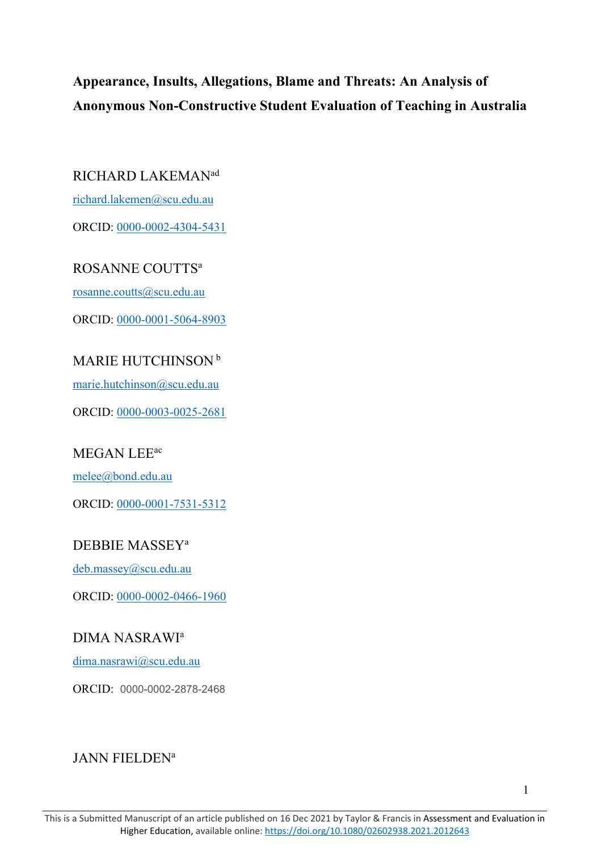# **Appearance, Insults, Allegations, Blame and Threats: An Analysis of Anonymous Non-Constructive Student Evaluation of Teaching in Australia**

## RICHARD LAKEMANad

[richard.lakemen@scu.edu.au](mailto:richard.lakemen@scu.edu.au)

ORCID: [0000-0002-4304-5431](https://orcid.org/0000-0002-4304-5431)

ROSANNE COUTTS<sup>a</sup>

[rosanne.coutts@scu.edu.au](mailto:rosanne.coutts@scu.edu.au)

ORCID: [0000-0001-5064-8903](https://orcid.org/0000-0001-5064-8903)

# MARIE HUTCHINSON<sup>b</sup>

[marie.hutchinson@scu.edu.au](mailto:marie.hutchinson@scu.edu.au)

ORCID: [0000-0003-0025-2681](https://orcid.org/0000-0003-0025-2681)

# MEGAN LEE<sup>ac</sup>

[melee@bond.edu.au](mailto:melee@bond.edu.au)

ORCID: [0000-0001-7531-5312](https://orcid.org/0000-0001-7531-5312)

# DEBBIE MASSEYa

[deb.massey@scu.edu.au](mailto:deb.massey@scu.edu.au)

ORCID: [0000-0002-0466-1960](https://orcid.org/0000-0002-0466-1960)

# DIMA NASRAWIa

[dima.nasrawi@scu.edu.au](mailto:dima.nasrawi@scu.edu.au)

ORCID: 0000-0002-2878-2468

# JANN FIELDEN<sup>a</sup>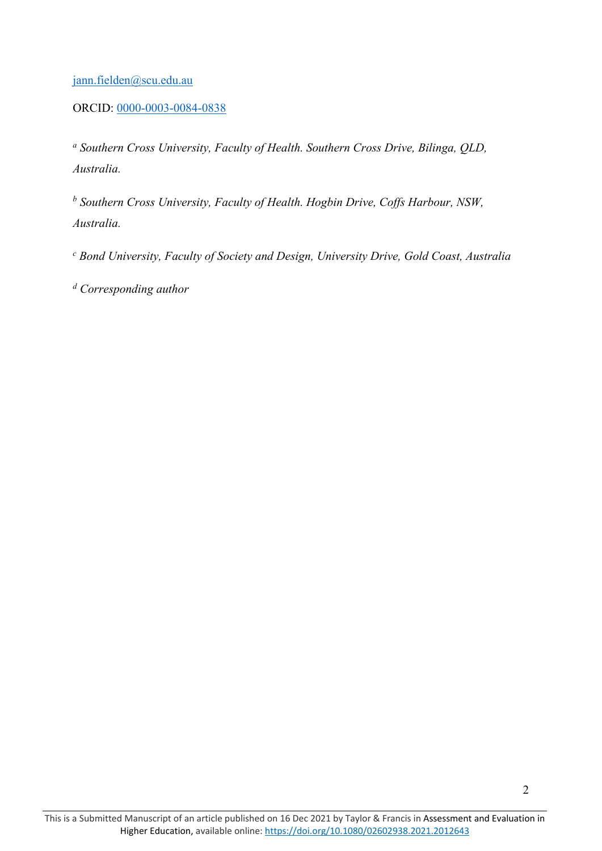## [jann.fielden@scu.edu.au](mailto:jann.fielden@scu.edu.au)

## ORCID: [0000-0003-0084-0838](https://orcid.org/0000-0003-0084-0838)

*<sup>a</sup> Southern Cross University, Faculty of Health. Southern Cross Drive, Bilinga, QLD, Australia.* 

*<sup>b</sup> Southern Cross University, Faculty of Health. Hogbin Drive, Coffs Harbour, NSW, Australia.*

*<sup>c</sup> Bond University, Faculty of Society and Design, University Drive, Gold Coast, Australia*

*<sup>d</sup> Corresponding author*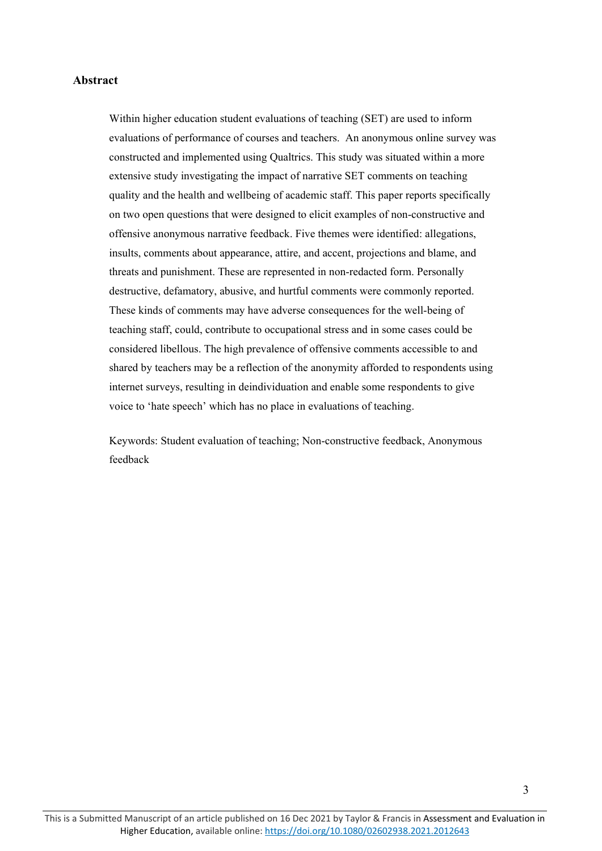### **Abstract**

Within higher education student evaluations of teaching (SET) are used to inform evaluations of performance of courses and teachers. An anonymous online survey was constructed and implemented using Qualtrics. This study was situated within a more extensive study investigating the impact of narrative SET comments on teaching quality and the health and wellbeing of academic staff. This paper reports specifically on two open questions that were designed to elicit examples of non-constructive and offensive anonymous narrative feedback. Five themes were identified: allegations, insults, comments about appearance, attire, and accent, projections and blame, and threats and punishment. These are represented in non-redacted form. Personally destructive, defamatory, abusive, and hurtful comments were commonly reported. These kinds of comments may have adverse consequences for the well-being of teaching staff, could, contribute to occupational stress and in some cases could be considered libellous. The high prevalence of offensive comments accessible to and shared by teachers may be a reflection of the anonymity afforded to respondents using internet surveys, resulting in deindividuation and enable some respondents to give voice to 'hate speech' which has no place in evaluations of teaching.

Keywords: Student evaluation of teaching; Non-constructive feedback, Anonymous feedback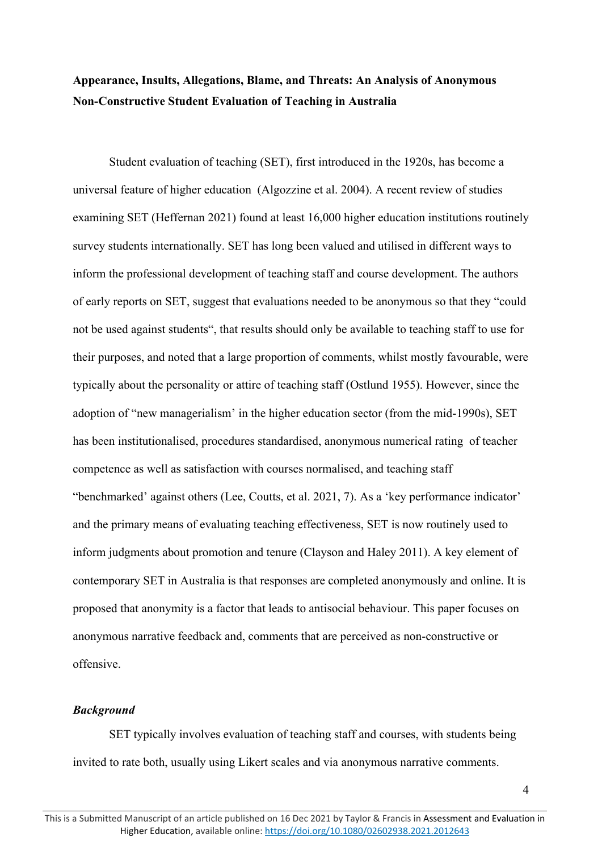# **Appearance, Insults, Allegations, Blame, and Threats: An Analysis of Anonymous Non-Constructive Student Evaluation of Teaching in Australia**

Student evaluation of teaching (SET), first introduced in the 1920s, has become a universal feature of higher education (Algozzine et al. 2004). A recent review of studies examining SET (Heffernan 2021) found at least 16,000 higher education institutions routinely survey students internationally. SET has long been valued and utilised in different ways to inform the professional development of teaching staff and course development. The authors of early reports on SET, suggest that evaluations needed to be anonymous so that they "could not be used against students", that results should only be available to teaching staff to use for their purposes, and noted that a large proportion of comments, whilst mostly favourable, were typically about the personality or attire of teaching staff (Ostlund 1955). However, since the adoption of "new managerialism' in the higher education sector (from the mid-1990s), SET has been institutionalised, procedures standardised, anonymous numerical rating of teacher competence as well as satisfaction with courses normalised, and teaching staff "benchmarked' against others (Lee, Coutts, et al. 2021, 7). As a 'key performance indicator' and the primary means of evaluating teaching effectiveness, SET is now routinely used to inform judgments about promotion and tenure (Clayson and Haley 2011). A key element of contemporary SET in Australia is that responses are completed anonymously and online. It is proposed that anonymity is a factor that leads to antisocial behaviour. This paper focuses on anonymous narrative feedback and, comments that are perceived as non-constructive or offensive.

### *Background*

SET typically involves evaluation of teaching staff and courses, with students being invited to rate both, usually using Likert scales and via anonymous narrative comments.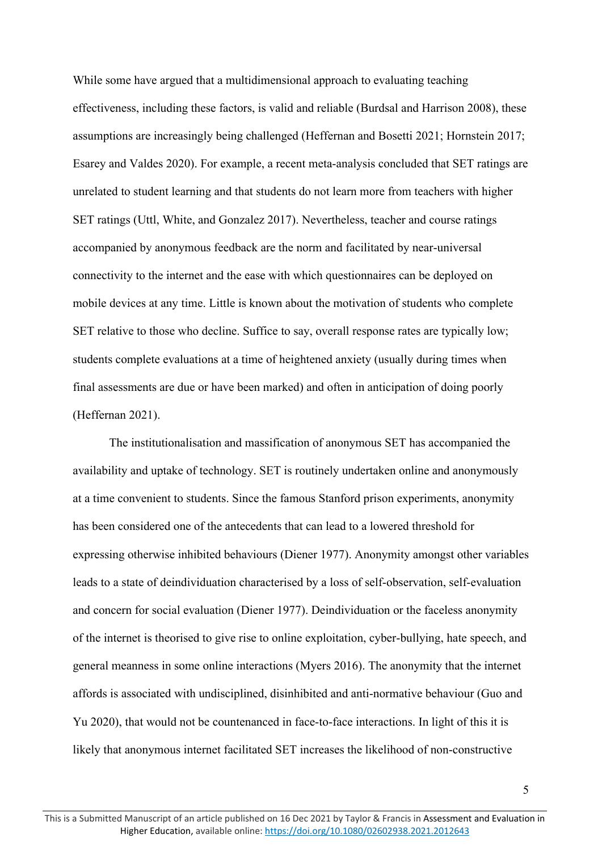While some have argued that a multidimensional approach to evaluating teaching effectiveness, including these factors, is valid and reliable (Burdsal and Harrison 2008), these assumptions are increasingly being challenged (Heffernan and Bosetti 2021; Hornstein 2017; Esarey and Valdes 2020). For example, a recent meta-analysis concluded that SET ratings are unrelated to student learning and that students do not learn more from teachers with higher SET ratings (Uttl, White, and Gonzalez 2017). Nevertheless, teacher and course ratings accompanied by anonymous feedback are the norm and facilitated by near-universal connectivity to the internet and the ease with which questionnaires can be deployed on mobile devices at any time. Little is known about the motivation of students who complete SET relative to those who decline. Suffice to say, overall response rates are typically low; students complete evaluations at a time of heightened anxiety (usually during times when final assessments are due or have been marked) and often in anticipation of doing poorly (Heffernan 2021).

The institutionalisation and massification of anonymous SET has accompanied the availability and uptake of technology. SET is routinely undertaken online and anonymously at a time convenient to students. Since the famous Stanford prison experiments, anonymity has been considered one of the antecedents that can lead to a lowered threshold for expressing otherwise inhibited behaviours (Diener 1977). Anonymity amongst other variables leads to a state of deindividuation characterised by a loss of self-observation, self-evaluation and concern for social evaluation (Diener 1977). Deindividuation or the faceless anonymity of the internet is theorised to give rise to online exploitation, cyber-bullying, hate speech, and general meanness in some online interactions (Myers 2016). The anonymity that the internet affords is associated with undisciplined, disinhibited and anti-normative behaviour (Guo and Yu 2020), that would not be countenanced in face-to-face interactions. In light of this it is likely that anonymous internet facilitated SET increases the likelihood of non-constructive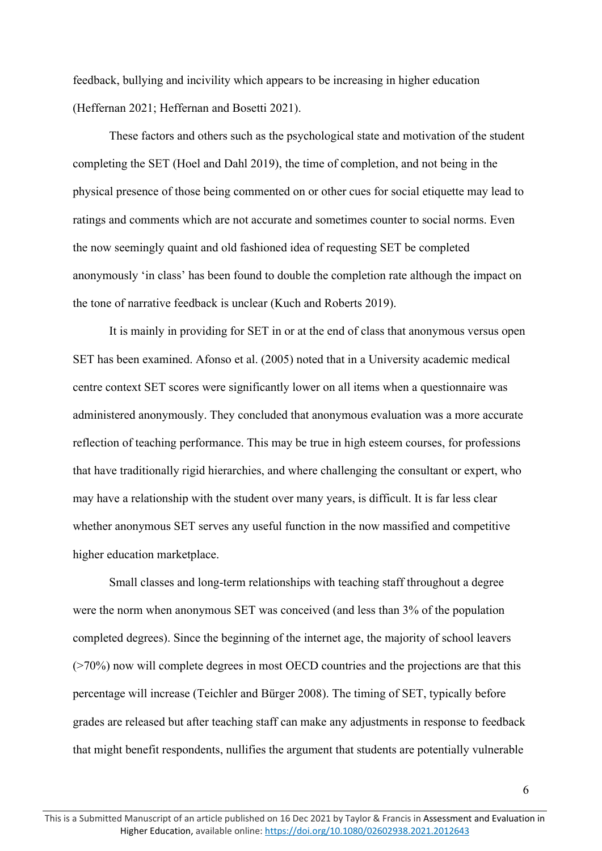feedback, bullying and incivility which appears to be increasing in higher education (Heffernan 2021; Heffernan and Bosetti 2021).

These factors and others such as the psychological state and motivation of the student completing the SET (Hoel and Dahl 2019), the time of completion, and not being in the physical presence of those being commented on or other cues for social etiquette may lead to ratings and comments which are not accurate and sometimes counter to social norms. Even the now seemingly quaint and old fashioned idea of requesting SET be completed anonymously 'in class' has been found to double the completion rate although the impact on the tone of narrative feedback is unclear (Kuch and Roberts 2019).

It is mainly in providing for SET in or at the end of class that anonymous versus open SET has been examined. Afonso et al. (2005) noted that in a University academic medical centre context SET scores were significantly lower on all items when a questionnaire was administered anonymously. They concluded that anonymous evaluation was a more accurate reflection of teaching performance. This may be true in high esteem courses, for professions that have traditionally rigid hierarchies, and where challenging the consultant or expert, who may have a relationship with the student over many years, is difficult. It is far less clear whether anonymous SET serves any useful function in the now massified and competitive higher education marketplace.

Small classes and long-term relationships with teaching staff throughout a degree were the norm when anonymous SET was conceived (and less than 3% of the population completed degrees). Since the beginning of the internet age, the majority of school leavers (>70%) now will complete degrees in most OECD countries and the projections are that this percentage will increase (Teichler and Bürger 2008). The timing of SET, typically before grades are released but after teaching staff can make any adjustments in response to feedback that might benefit respondents, nullifies the argument that students are potentially vulnerable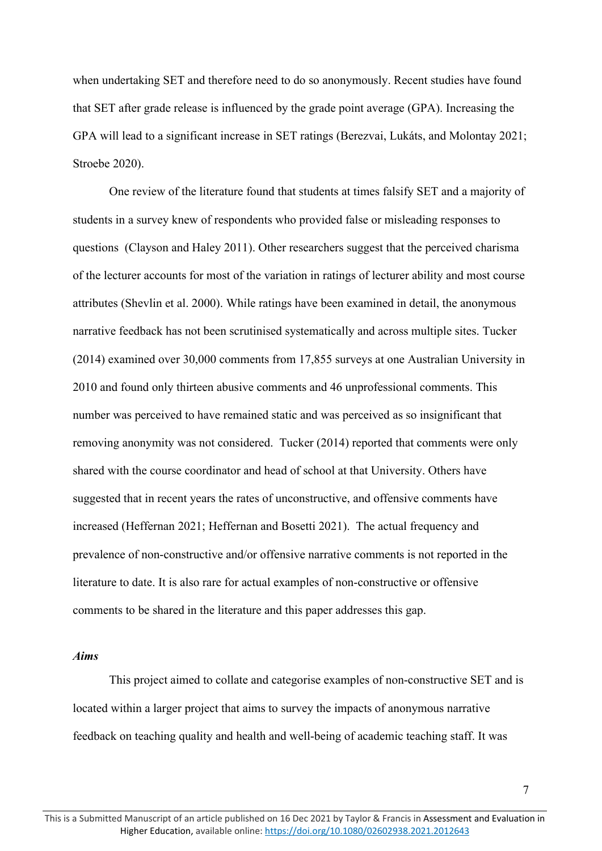when undertaking SET and therefore need to do so anonymously. Recent studies have found that SET after grade release is influenced by the grade point average (GPA). Increasing the GPA will lead to a significant increase in SET ratings (Berezvai, Lukáts, and Molontay 2021; Stroebe 2020).

One review of the literature found that students at times falsify SET and a majority of students in a survey knew of respondents who provided false or misleading responses to questions (Clayson and Haley 2011). Other researchers suggest that the perceived charisma of the lecturer accounts for most of the variation in ratings of lecturer ability and most course attributes (Shevlin et al. 2000). While ratings have been examined in detail, the anonymous narrative feedback has not been scrutinised systematically and across multiple sites. Tucker (2014) examined over 30,000 comments from 17,855 surveys at one Australian University in 2010 and found only thirteen abusive comments and 46 unprofessional comments. This number was perceived to have remained static and was perceived as so insignificant that removing anonymity was not considered. Tucker (2014) reported that comments were only shared with the course coordinator and head of school at that University. Others have suggested that in recent years the rates of unconstructive, and offensive comments have increased (Heffernan 2021; Heffernan and Bosetti 2021). The actual frequency and prevalence of non-constructive and/or offensive narrative comments is not reported in the literature to date. It is also rare for actual examples of non-constructive or offensive comments to be shared in the literature and this paper addresses this gap.

### *Aims*

This project aimed to collate and categorise examples of non-constructive SET and is located within a larger project that aims to survey the impacts of anonymous narrative feedback on teaching quality and health and well-being of academic teaching staff. It was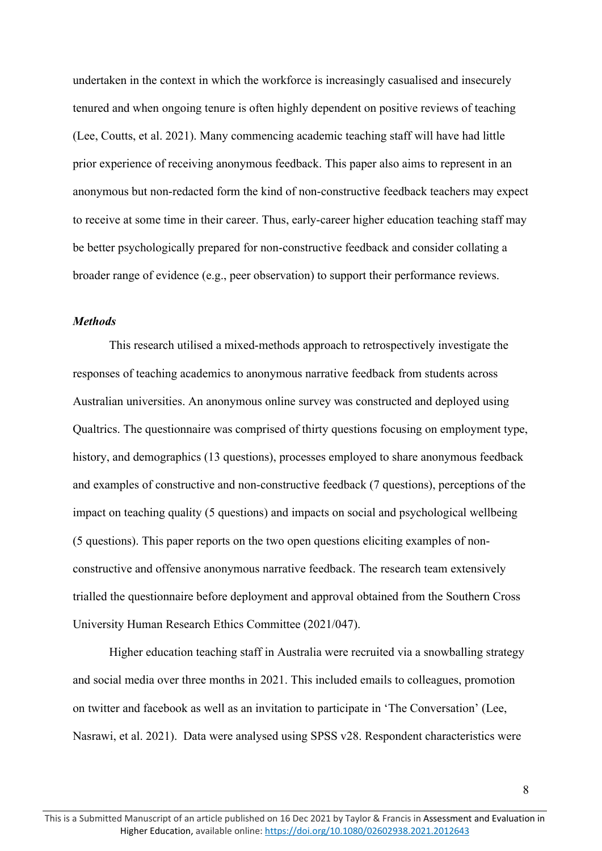undertaken in the context in which the workforce is increasingly casualised and insecurely tenured and when ongoing tenure is often highly dependent on positive reviews of teaching (Lee, Coutts, et al. 2021). Many commencing academic teaching staff will have had little prior experience of receiving anonymous feedback. This paper also aims to represent in an anonymous but non-redacted form the kind of non-constructive feedback teachers may expect to receive at some time in their career. Thus, early-career higher education teaching staff may be better psychologically prepared for non-constructive feedback and consider collating a broader range of evidence (e.g., peer observation) to support their performance reviews.

### *Methods*

This research utilised a mixed-methods approach to retrospectively investigate the responses of teaching academics to anonymous narrative feedback from students across Australian universities. An anonymous online survey was constructed and deployed using Qualtrics. The questionnaire was comprised of thirty questions focusing on employment type, history, and demographics (13 questions), processes employed to share anonymous feedback and examples of constructive and non-constructive feedback (7 questions), perceptions of the impact on teaching quality (5 questions) and impacts on social and psychological wellbeing (5 questions). This paper reports on the two open questions eliciting examples of nonconstructive and offensive anonymous narrative feedback. The research team extensively trialled the questionnaire before deployment and approval obtained from the Southern Cross University Human Research Ethics Committee (2021/047).

Higher education teaching staff in Australia were recruited via a snowballing strategy and social media over three months in 2021. This included emails to colleagues, promotion on twitter and facebook as well as an invitation to participate in 'The Conversation' (Lee, Nasrawi, et al. 2021). Data were analysed using SPSS v28. Respondent characteristics were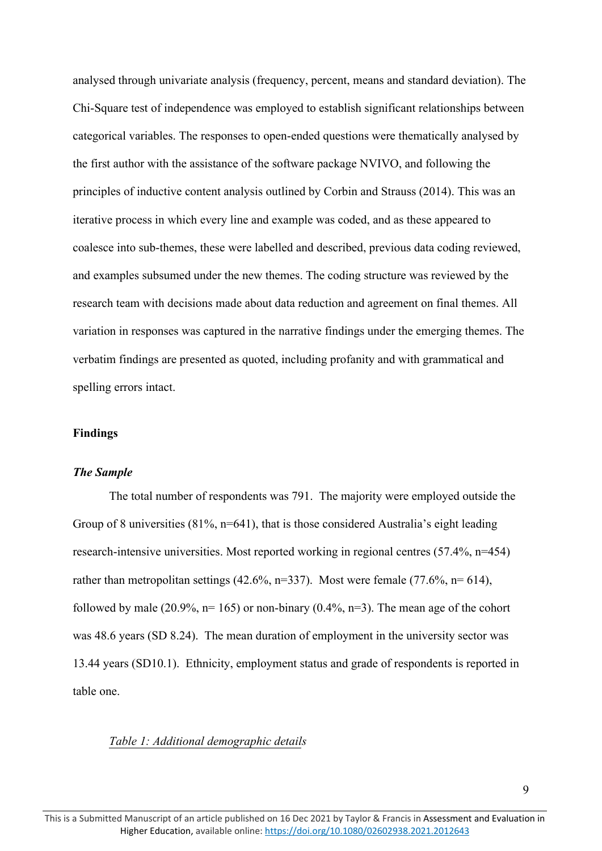analysed through univariate analysis (frequency, percent, means and standard deviation). The Chi-Square test of independence was employed to establish significant relationships between categorical variables. The responses to open-ended questions were thematically analysed by the first author with the assistance of the software package NVIVO, and following the principles of inductive content analysis outlined by Corbin and Strauss (2014). This was an iterative process in which every line and example was coded, and as these appeared to coalesce into sub-themes, these were labelled and described, previous data coding reviewed, and examples subsumed under the new themes. The coding structure was reviewed by the research team with decisions made about data reduction and agreement on final themes. All variation in responses was captured in the narrative findings under the emerging themes. The verbatim findings are presented as quoted, including profanity and with grammatical and spelling errors intact.

#### **Findings**

### *The Sample*

The total number of respondents was 791. The majority were employed outside the Group of 8 universities (81%, n=641), that is those considered Australia's eight leading research-intensive universities. Most reported working in regional centres (57.4%, n=454) rather than metropolitan settings (42.6%, n=337). Most were female (77.6%, n= 614), followed by male (20.9%,  $n=165$ ) or non-binary (0.4%,  $n=3$ ). The mean age of the cohort was 48.6 years (SD 8.24). The mean duration of employment in the university sector was 13.44 years (SD10.1). Ethnicity, employment status and grade of respondents is reported in table one.

### *Table 1: Additional demographic details*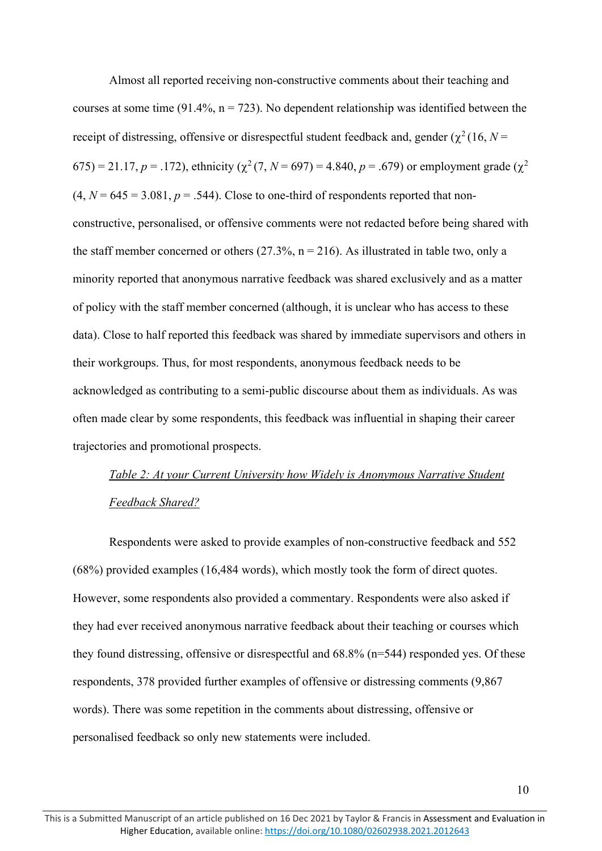Almost all reported receiving non-constructive comments about their teaching and courses at some time (91.4%,  $n = 723$ ). No dependent relationship was identified between the receipt of distressing, offensive or disrespectful student feedback and, gender ( $\chi^2$  (16, *N* = 675) = 21.17,  $p = .172$ ), ethnicity ( $\chi^2$  (7,  $N = 697$ ) = 4.840,  $p = .679$ ) or employment grade ( $\chi^2$ )  $(4, N = 645 = 3.081, p = .544)$ . Close to one-third of respondents reported that nonconstructive, personalised, or offensive comments were not redacted before being shared with the staff member concerned or others  $(27.3\%, n = 216)$ . As illustrated in table two, only a minority reported that anonymous narrative feedback was shared exclusively and as a matter of policy with the staff member concerned (although, it is unclear who has access to these data). Close to half reported this feedback was shared by immediate supervisors and others in their workgroups. Thus, for most respondents, anonymous feedback needs to be acknowledged as contributing to a semi-public discourse about them as individuals. As was often made clear by some respondents, this feedback was influential in shaping their career trajectories and promotional prospects.

# *Table 2: At your Current University how Widely is Anonymous Narrative Student Feedback Shared?*

Respondents were asked to provide examples of non-constructive feedback and 552 (68%) provided examples (16,484 words), which mostly took the form of direct quotes. However, some respondents also provided a commentary. Respondents were also asked if they had ever received anonymous narrative feedback about their teaching or courses which they found distressing, offensive or disrespectful and 68.8% (n=544) responded yes. Of these respondents, 378 provided further examples of offensive or distressing comments (9,867 words). There was some repetition in the comments about distressing, offensive or personalised feedback so only new statements were included.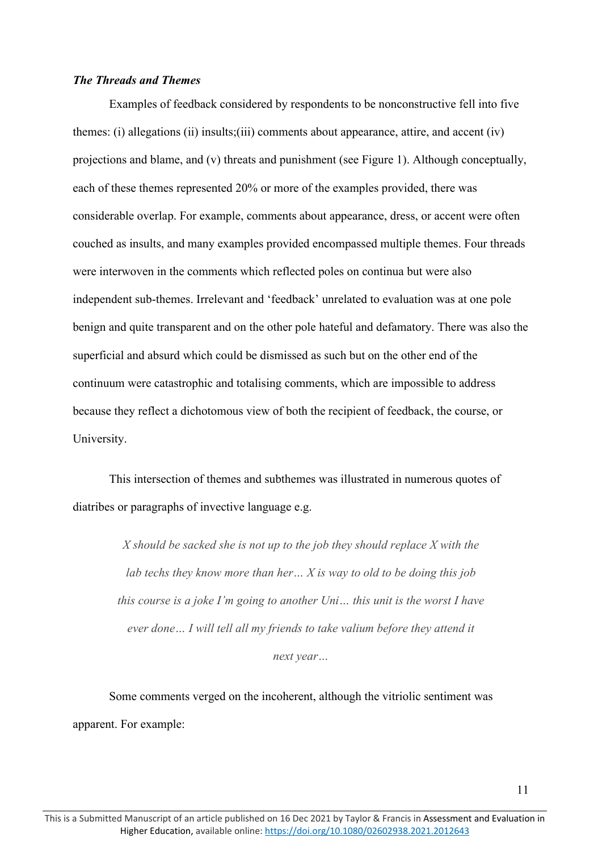### *The Threads and Themes*

Examples of feedback considered by respondents to be nonconstructive fell into five themes: (i) allegations (ii) insults;(iii) comments about appearance, attire, and accent (iv) projections and blame, and (v) threats and punishment (see Figure 1). Although conceptually, each of these themes represented 20% or more of the examples provided, there was considerable overlap. For example, comments about appearance, dress, or accent were often couched as insults, and many examples provided encompassed multiple themes. Four threads were interwoven in the comments which reflected poles on continua but were also independent sub-themes. Irrelevant and 'feedback' unrelated to evaluation was at one pole benign and quite transparent and on the other pole hateful and defamatory. There was also the superficial and absurd which could be dismissed as such but on the other end of the continuum were catastrophic and totalising comments, which are impossible to address because they reflect a dichotomous view of both the recipient of feedback, the course, or University.

This intersection of themes and subthemes was illustrated in numerous quotes of diatribes or paragraphs of invective language e.g.

> *X should be sacked she is not up to the job they should replace X with the lab techs they know more than her… X is way to old to be doing this job this course is a joke I'm going to another Uni… this unit is the worst I have ever done… I will tell all my friends to take valium before they attend it next year…*

Some comments verged on the incoherent, although the vitriolic sentiment was apparent. For example: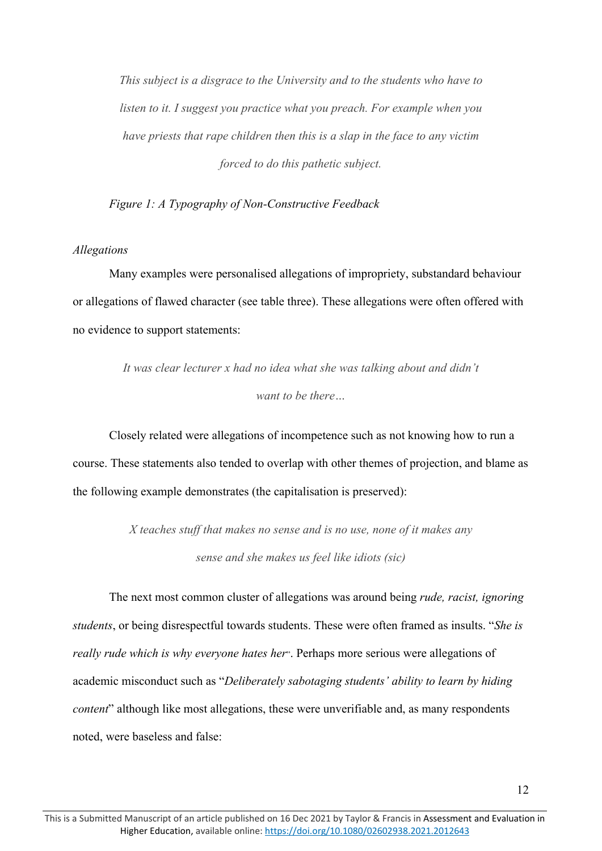*This subject is a disgrace to the University and to the students who have to listen to it. I suggest you practice what you preach. For example when you have priests that rape children then this is a slap in the face to any victim forced to do this pathetic subject.* 

*Figure 1: A Typography of Non-Constructive Feedback*

### *Allegations*

Many examples were personalised allegations of impropriety, substandard behaviour or allegations of flawed character (see table three). These allegations were often offered with no evidence to support statements:

> *It was clear lecturer x had no idea what she was talking about and didn't want to be there…*

Closely related were allegations of incompetence such as not knowing how to run a course. These statements also tended to overlap with other themes of projection, and blame as the following example demonstrates (the capitalisation is preserved):

> *X teaches stuff that makes no sense and is no use, none of it makes any sense and she makes us feel like idiots (sic)*

The next most common cluster of allegations was around being *rude, racist, ignoring students*, or being disrespectful towards students. These were often framed as insults. "*She is really rude which is why everyone hates her*". Perhaps more serious were allegations of academic misconduct such as "*Deliberately sabotaging students' ability to learn by hiding content*" although like most allegations, these were unverifiable and, as many respondents noted, were baseless and false: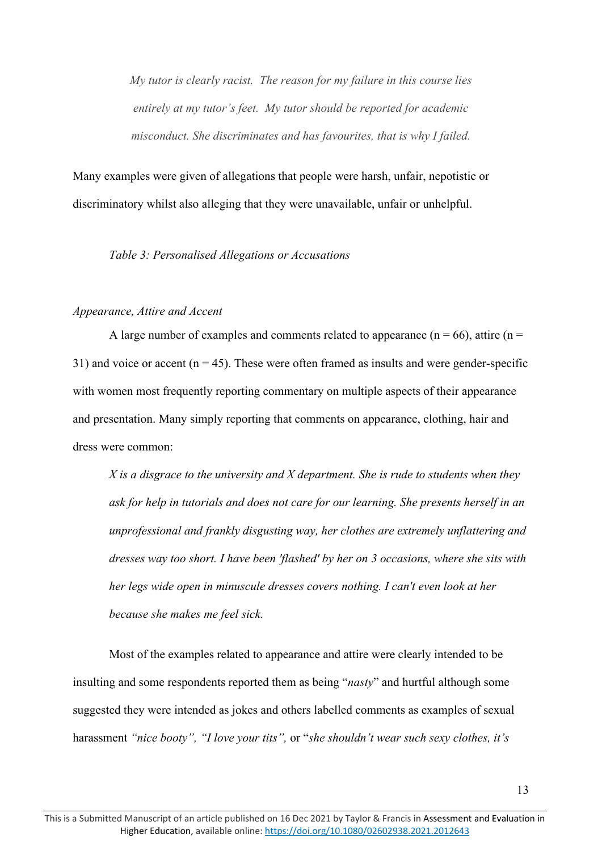*My tutor is clearly racist. The reason for my failure in this course lies entirely at my tutor's feet. My tutor should be reported for academic misconduct. She discriminates and has favourites, that is why I failed.*

Many examples were given of allegations that people were harsh, unfair, nepotistic or discriminatory whilst also alleging that they were unavailable, unfair or unhelpful.

*Table 3: Personalised Allegations or Accusations*

#### *Appearance, Attire and Accent*

A large number of examples and comments related to appearance ( $n = 66$ ), attire ( $n =$ 31) and voice or accent  $(n = 45)$ . These were often framed as insults and were gender-specific with women most frequently reporting commentary on multiple aspects of their appearance and presentation. Many simply reporting that comments on appearance, clothing, hair and dress were common:

*X is a disgrace to the university and X department. She is rude to students when they ask for help in tutorials and does not care for our learning. She presents herself in an unprofessional and frankly disgusting way, her clothes are extremely unflattering and dresses way too short. I have been 'flashed' by her on 3 occasions, where she sits with her legs wide open in minuscule dresses covers nothing. I can't even look at her because she makes me feel sick.*

Most of the examples related to appearance and attire were clearly intended to be insulting and some respondents reported them as being "*nasty*" and hurtful although some suggested they were intended as jokes and others labelled comments as examples of sexual harassment *"nice booty", "I love your tits",* or "*she shouldn't wear such sexy clothes, it's*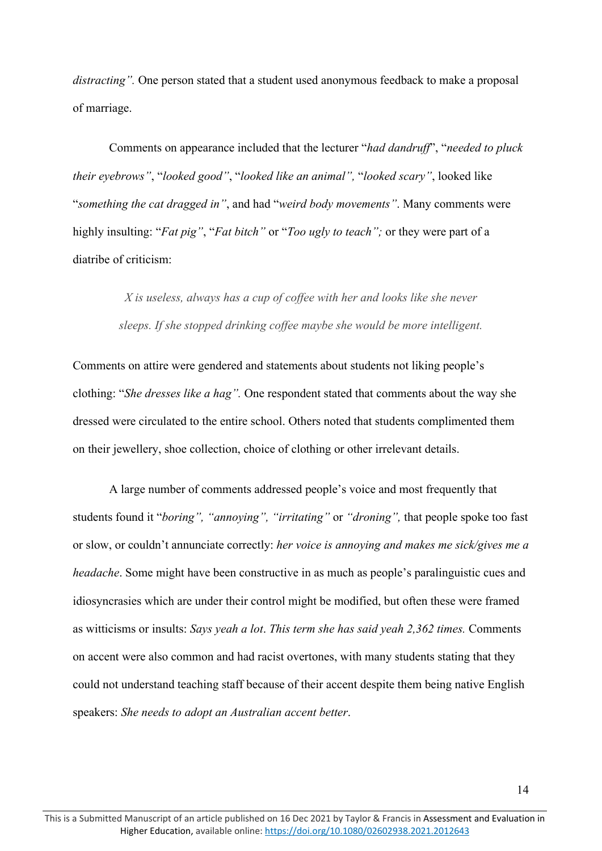*distracting".* One person stated that a student used anonymous feedback to make a proposal of marriage.

Comments on appearance included that the lecturer "*had dandruff*", "*needed to pluck their eyebrows"*, "*looked good"*, "*looked like an animal",* "*looked scary"*, looked like "*something the cat dragged in"*, and had "*weird body movements"*. Many comments were highly insulting: "*Fat pig"*, "*Fat bitch"* or "*Too ugly to teach";* or they were part of a diatribe of criticism:

> *X is useless, always has a cup of coffee with her and looks like she never sleeps. If she stopped drinking coffee maybe she would be more intelligent.*

Comments on attire were gendered and statements about students not liking people's clothing: "*She dresses like a hag".* One respondent stated that comments about the way she dressed were circulated to the entire school. Others noted that students complimented them on their jewellery, shoe collection, choice of clothing or other irrelevant details.

A large number of comments addressed people's voice and most frequently that students found it "*boring", "annoying", "irritating"* or *"droning",* that people spoke too fast or slow, or couldn't annunciate correctly: *her voice is annoying and makes me sick/gives me a headache*. Some might have been constructive in as much as people's paralinguistic cues and idiosyncrasies which are under their control might be modified, but often these were framed as witticisms or insults: *Says yeah a lot*. *This term she has said yeah 2,362 times.* Comments on accent were also common and had racist overtones, with many students stating that they could not understand teaching staff because of their accent despite them being native English speakers: *She needs to adopt an Australian accent better*.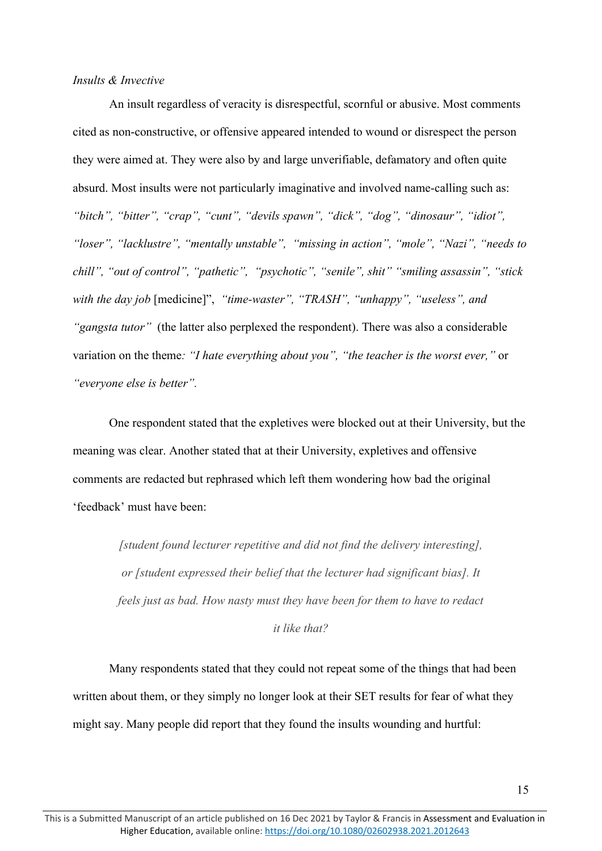### *Insults & Invective*

An insult regardless of veracity is disrespectful, scornful or abusive. Most comments cited as non-constructive, or offensive appeared intended to wound or disrespect the person they were aimed at. They were also by and large unverifiable, defamatory and often quite absurd. Most insults were not particularly imaginative and involved name-calling such as: *"bitch", "bitter", "crap", "cunt", "devils spawn", "dick", "dog", "dinosaur", "idiot", "loser", "lacklustre", "mentally unstable", "missing in action", "mole", "Nazi", "needs to chill", "out of control", "pathetic", "psychotic", "senile", shit" "smiling assassin", "stick with the day job* [medicine]", *"time-waster", "TRASH", "unhappy", "useless", and "gangsta tutor"* (the latter also perplexed the respondent). There was also a considerable variation on the theme*: "I hate everything about you", "the teacher is the worst ever,"* or *"everyone else is better".*

One respondent stated that the expletives were blocked out at their University, but the meaning was clear. Another stated that at their University, expletives and offensive comments are redacted but rephrased which left them wondering how bad the original 'feedback' must have been:

*[student found lecturer repetitive and did not find the delivery interesting], or [student expressed their belief that the lecturer had significant bias]. It feels just as bad. How nasty must they have been for them to have to redact it like that?*

Many respondents stated that they could not repeat some of the things that had been written about them, or they simply no longer look at their SET results for fear of what they might say. Many people did report that they found the insults wounding and hurtful: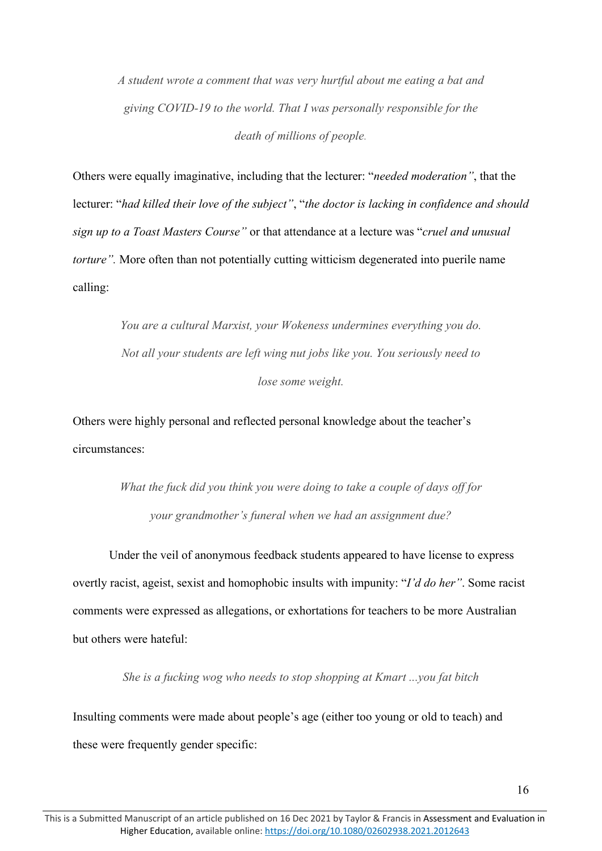*A student wrote a comment that was very hurtful about me eating a bat and giving COVID-19 to the world. That I was personally responsible for the death of millions of people.*

Others were equally imaginative, including that the lecturer: "*needed moderation"*, that the lecturer: "*had killed their love of the subject"*, "*the doctor is lacking in confidence and should sign up to a Toast Masters Course"* or that attendance at a lecture was "*cruel and unusual torture*". More often than not potentially cutting witticism degenerated into puerile name calling:

> *You are a cultural Marxist, your Wokeness undermines everything you do. Not all your students are left wing nut jobs like you. You seriously need to lose some weight.*

Others were highly personal and reflected personal knowledge about the teacher's circumstances:

> *What the fuck did you think you were doing to take a couple of days off for your grandmother's funeral when we had an assignment due?*

Under the veil of anonymous feedback students appeared to have license to express overtly racist, ageist, sexist and homophobic insults with impunity: "*I'd do her"*. Some racist comments were expressed as allegations, or exhortations for teachers to be more Australian but others were hateful:

*She is a fucking wog who needs to stop shopping at Kmart ...you fat bitch*

Insulting comments were made about people's age (either too young or old to teach) and these were frequently gender specific: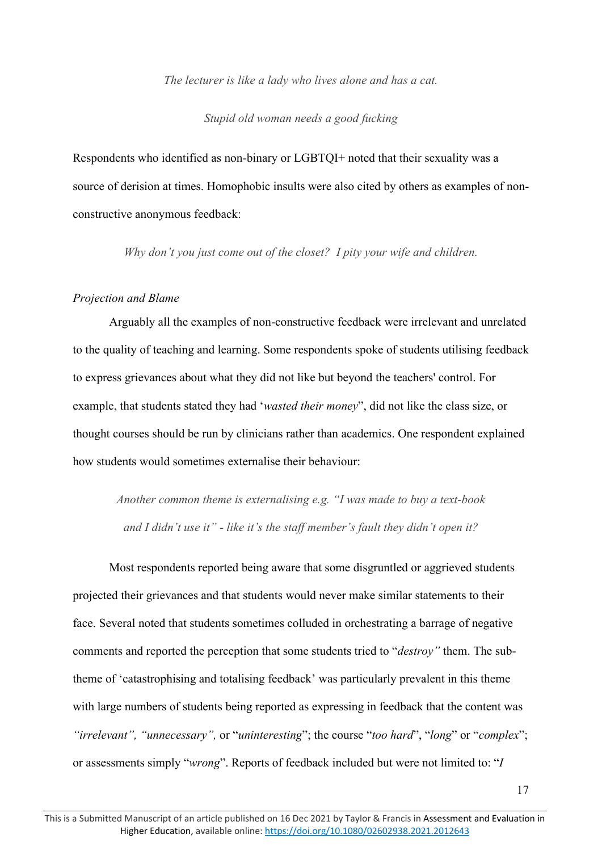### *The lecturer is like a lady who lives alone and has a cat.*

### *Stupid old woman needs a good fucking*

Respondents who identified as non-binary or LGBTQI+ noted that their sexuality was a source of derision at times. Homophobic insults were also cited by others as examples of nonconstructive anonymous feedback:

*Why don't you just come out of the closet? I pity your wife and children.*

### *Projection and Blame*

Arguably all the examples of non-constructive feedback were irrelevant and unrelated to the quality of teaching and learning. Some respondents spoke of students utilising feedback to express grievances about what they did not like but beyond the teachers' control. For example, that students stated they had '*wasted their money*", did not like the class size, or thought courses should be run by clinicians rather than academics. One respondent explained how students would sometimes externalise their behaviour:

*Another common theme is externalising e.g. "I was made to buy a text-book and I didn't use it" - like it's the staff member's fault they didn't open it?*

Most respondents reported being aware that some disgruntled or aggrieved students projected their grievances and that students would never make similar statements to their face. Several noted that students sometimes colluded in orchestrating a barrage of negative comments and reported the perception that some students tried to "*destroy"* them. The subtheme of 'catastrophising and totalising feedback' was particularly prevalent in this theme with large numbers of students being reported as expressing in feedback that the content was *"irrelevant", "unnecessary",* or "*uninteresting*"; the course "*too hard*", "*long*" or "*complex*"; or assessments simply "*wrong*". Reports of feedback included but were not limited to: "*I*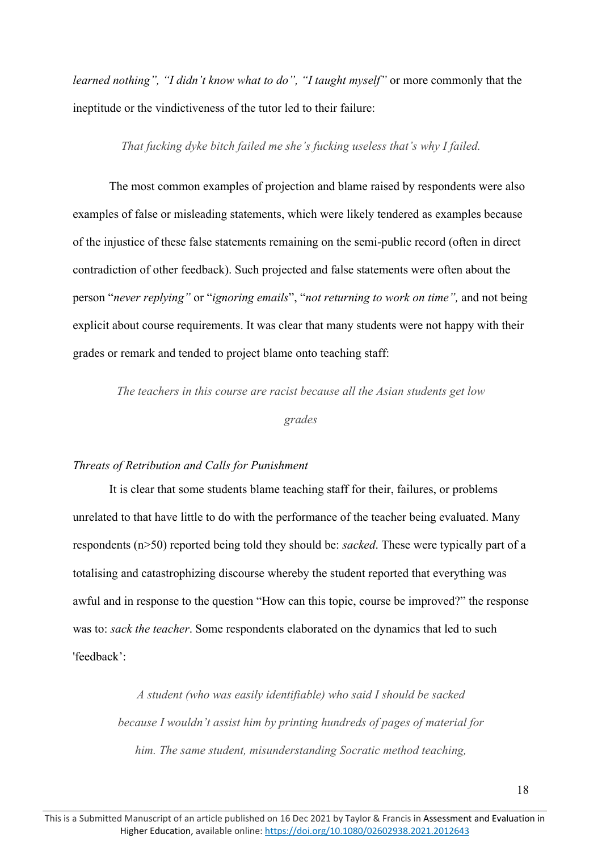*learned nothing", "I didn't know what to do", "I taught myself"* or more commonly that the ineptitude or the vindictiveness of the tutor led to their failure:

### *That fucking dyke bitch failed me she's fucking useless that's why I failed.*

The most common examples of projection and blame raised by respondents were also examples of false or misleading statements, which were likely tendered as examples because of the injustice of these false statements remaining on the semi-public record (often in direct contradiction of other feedback). Such projected and false statements were often about the person "*never replying"* or "*ignoring emails*", "*not returning to work on time",* and not being explicit about course requirements. It was clear that many students were not happy with their grades or remark and tended to project blame onto teaching staff:

*The teachers in this course are racist because all the Asian students get low* 

*grades*

### *Threats of Retribution and Calls for Punishment*

It is clear that some students blame teaching staff for their, failures, or problems unrelated to that have little to do with the performance of the teacher being evaluated. Many respondents (n>50) reported being told they should be: *sacked*. These were typically part of a totalising and catastrophizing discourse whereby the student reported that everything was awful and in response to the question "How can this topic, course be improved?" the response was to: *sack the teacher*. Some respondents elaborated on the dynamics that led to such 'feedback':

*A student (who was easily identifiable) who said I should be sacked because I wouldn't assist him by printing hundreds of pages of material for him. The same student, misunderstanding Socratic method teaching,*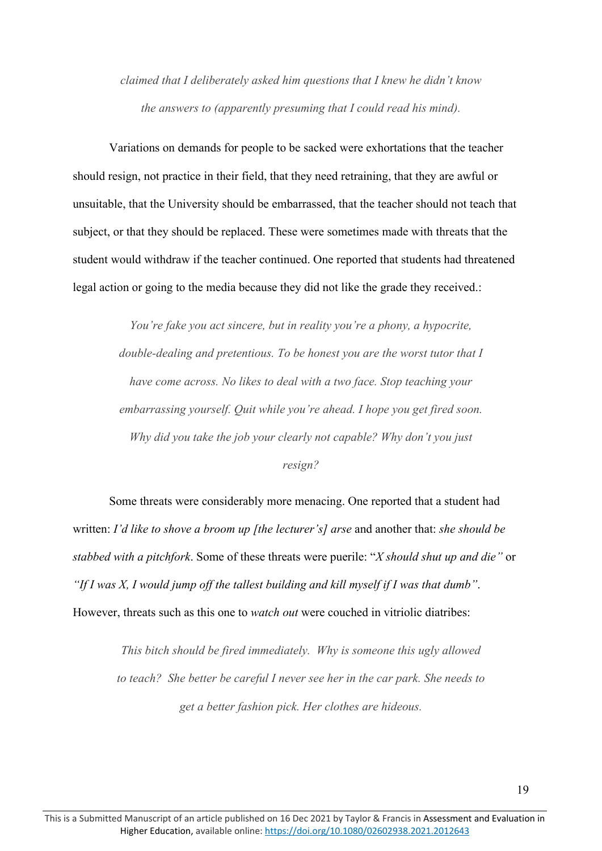*claimed that I deliberately asked him questions that I knew he didn't know the answers to (apparently presuming that I could read his mind).*

Variations on demands for people to be sacked were exhortations that the teacher should resign, not practice in their field, that they need retraining, that they are awful or unsuitable, that the University should be embarrassed, that the teacher should not teach that subject, or that they should be replaced. These were sometimes made with threats that the student would withdraw if the teacher continued. One reported that students had threatened legal action or going to the media because they did not like the grade they received.:

> *You're fake you act sincere, but in reality you're a phony, a hypocrite, double-dealing and pretentious. To be honest you are the worst tutor that I have come across. No likes to deal with a two face. Stop teaching your embarrassing yourself. Quit while you're ahead. I hope you get fired soon. Why did you take the job your clearly not capable? Why don't you just resign?*

Some threats were considerably more menacing. One reported that a student had written: *I'd like to shove a broom up [the lecturer's] arse* and another that: *she should be stabbed with a pitchfork*. Some of these threats were puerile: "*X should shut up and die"* or *"If I was X, I would jump off the tallest building and kill myself if I was that dumb"*. However, threats such as this one to *watch out* were couched in vitriolic diatribes:

*This bitch should be fired immediately. Why is someone this ugly allowed to teach? She better be careful I never see her in the car park. She needs to get a better fashion pick. Her clothes are hideous.*

19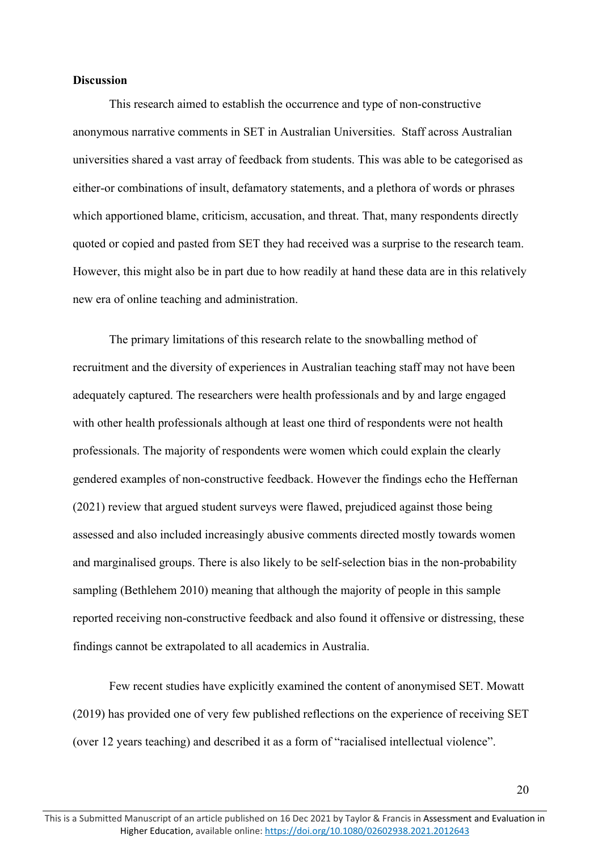### **Discussion**

This research aimed to establish the occurrence and type of non-constructive anonymous narrative comments in SET in Australian Universities. Staff across Australian universities shared a vast array of feedback from students. This was able to be categorised as either-or combinations of insult, defamatory statements, and a plethora of words or phrases which apportioned blame, criticism, accusation, and threat. That, many respondents directly quoted or copied and pasted from SET they had received was a surprise to the research team. However, this might also be in part due to how readily at hand these data are in this relatively new era of online teaching and administration.

The primary limitations of this research relate to the snowballing method of recruitment and the diversity of experiences in Australian teaching staff may not have been adequately captured. The researchers were health professionals and by and large engaged with other health professionals although at least one third of respondents were not health professionals. The majority of respondents were women which could explain the clearly gendered examples of non-constructive feedback. However the findings echo the Heffernan (2021) review that argued student surveys were flawed, prejudiced against those being assessed and also included increasingly abusive comments directed mostly towards women and marginalised groups. There is also likely to be self-selection bias in the non-probability sampling (Bethlehem 2010) meaning that although the majority of people in this sample reported receiving non-constructive feedback and also found it offensive or distressing, these findings cannot be extrapolated to all academics in Australia.

Few recent studies have explicitly examined the content of anonymised SET. Mowatt (2019) has provided one of very few published reflections on the experience of receiving SET (over 12 years teaching) and described it as a form of "racialised intellectual violence".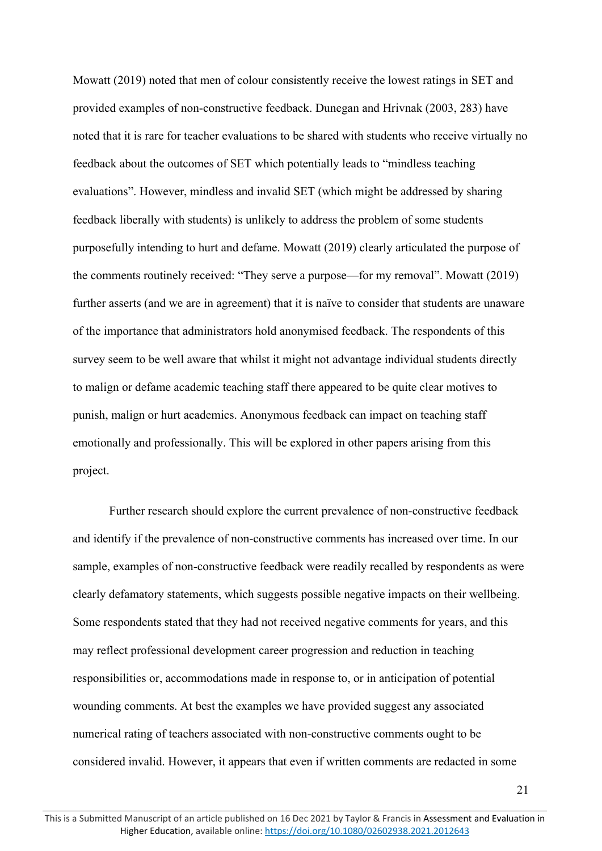Mowatt (2019) noted that men of colour consistently receive the lowest ratings in SET and provided examples of non-constructive feedback. Dunegan and Hrivnak (2003, 283) have noted that it is rare for teacher evaluations to be shared with students who receive virtually no feedback about the outcomes of SET which potentially leads to "mindless teaching evaluations". However, mindless and invalid SET (which might be addressed by sharing feedback liberally with students) is unlikely to address the problem of some students purposefully intending to hurt and defame. Mowatt (2019) clearly articulated the purpose of the comments routinely received: "They serve a purpose—for my removal". Mowatt (2019) further asserts (and we are in agreement) that it is naïve to consider that students are unaware of the importance that administrators hold anonymised feedback. The respondents of this survey seem to be well aware that whilst it might not advantage individual students directly to malign or defame academic teaching staff there appeared to be quite clear motives to punish, malign or hurt academics. Anonymous feedback can impact on teaching staff emotionally and professionally. This will be explored in other papers arising from this project.

Further research should explore the current prevalence of non-constructive feedback and identify if the prevalence of non-constructive comments has increased over time. In our sample, examples of non-constructive feedback were readily recalled by respondents as were clearly defamatory statements, which suggests possible negative impacts on their wellbeing. Some respondents stated that they had not received negative comments for years, and this may reflect professional development career progression and reduction in teaching responsibilities or, accommodations made in response to, or in anticipation of potential wounding comments. At best the examples we have provided suggest any associated numerical rating of teachers associated with non-constructive comments ought to be considered invalid. However, it appears that even if written comments are redacted in some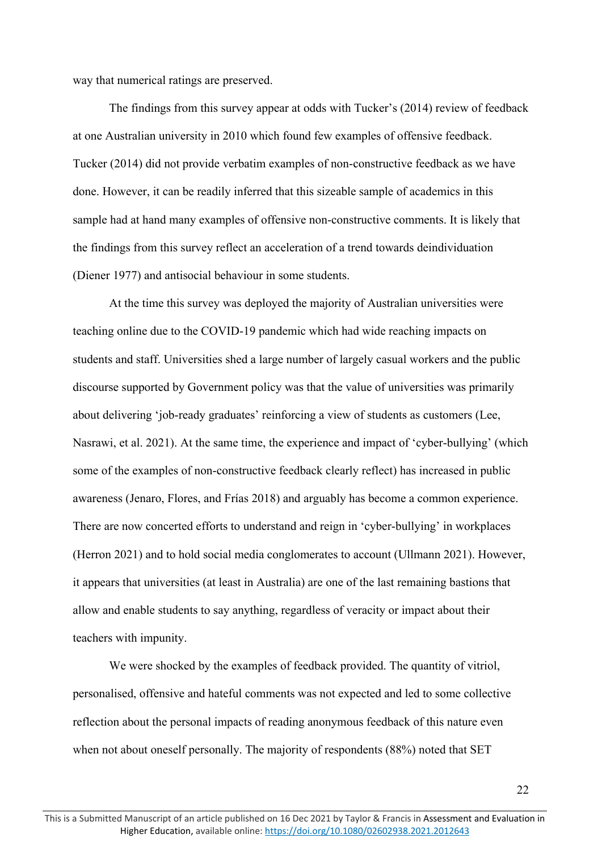way that numerical ratings are preserved.

The findings from this survey appear at odds with Tucker's (2014) review of feedback at one Australian university in 2010 which found few examples of offensive feedback. Tucker (2014) did not provide verbatim examples of non-constructive feedback as we have done. However, it can be readily inferred that this sizeable sample of academics in this sample had at hand many examples of offensive non-constructive comments. It is likely that the findings from this survey reflect an acceleration of a trend towards deindividuation (Diener 1977) and antisocial behaviour in some students.

At the time this survey was deployed the majority of Australian universities were teaching online due to the COVID-19 pandemic which had wide reaching impacts on students and staff. Universities shed a large number of largely casual workers and the public discourse supported by Government policy was that the value of universities was primarily about delivering 'job-ready graduates' reinforcing a view of students as customers (Lee, Nasrawi, et al. 2021). At the same time, the experience and impact of 'cyber-bullying' (which some of the examples of non-constructive feedback clearly reflect) has increased in public awareness (Jenaro, Flores, and Frías 2018) and arguably has become a common experience. There are now concerted efforts to understand and reign in 'cyber-bullying' in workplaces (Herron 2021) and to hold social media conglomerates to account (Ullmann 2021). However, it appears that universities (at least in Australia) are one of the last remaining bastions that allow and enable students to say anything, regardless of veracity or impact about their teachers with impunity.

We were shocked by the examples of feedback provided. The quantity of vitriol, personalised, offensive and hateful comments was not expected and led to some collective reflection about the personal impacts of reading anonymous feedback of this nature even when not about oneself personally. The majority of respondents (88%) noted that SET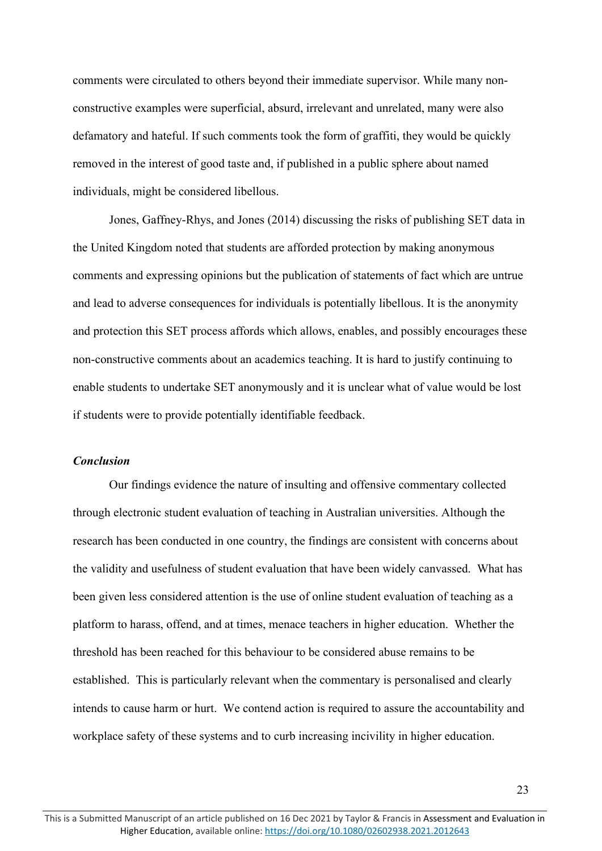comments were circulated to others beyond their immediate supervisor. While many nonconstructive examples were superficial, absurd, irrelevant and unrelated, many were also defamatory and hateful. If such comments took the form of graffiti, they would be quickly removed in the interest of good taste and, if published in a public sphere about named individuals, might be considered libellous.

Jones, Gaffney-Rhys, and Jones (2014) discussing the risks of publishing SET data in the United Kingdom noted that students are afforded protection by making anonymous comments and expressing opinions but the publication of statements of fact which are untrue and lead to adverse consequences for individuals is potentially libellous. It is the anonymity and protection this SET process affords which allows, enables, and possibly encourages these non-constructive comments about an academics teaching. It is hard to justify continuing to enable students to undertake SET anonymously and it is unclear what of value would be lost if students were to provide potentially identifiable feedback.

## *Conclusion*

Our findings evidence the nature of insulting and offensive commentary collected through electronic student evaluation of teaching in Australian universities. Although the research has been conducted in one country, the findings are consistent with concerns about the validity and usefulness of student evaluation that have been widely canvassed. What has been given less considered attention is the use of online student evaluation of teaching as a platform to harass, offend, and at times, menace teachers in higher education. Whether the threshold has been reached for this behaviour to be considered abuse remains to be established. This is particularly relevant when the commentary is personalised and clearly intends to cause harm or hurt. We contend action is required to assure the accountability and workplace safety of these systems and to curb increasing incivility in higher education.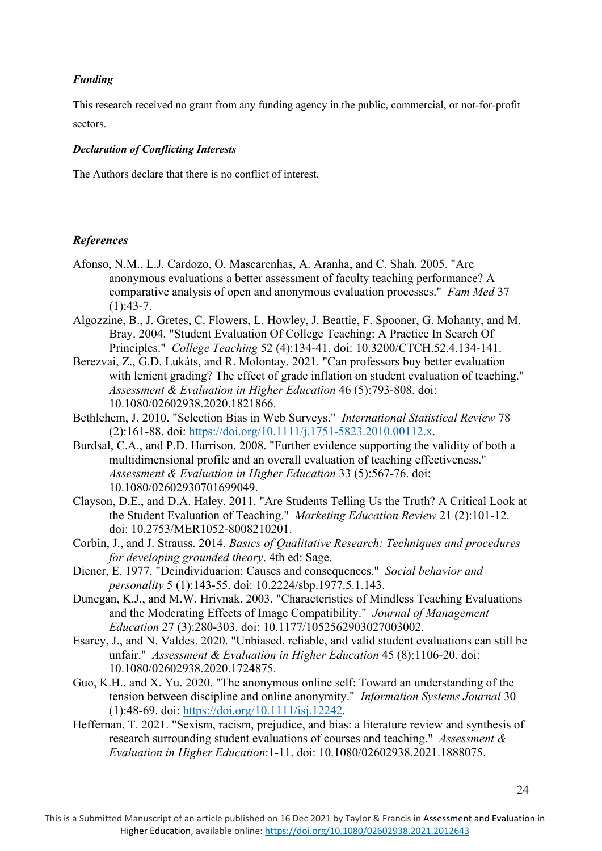## *Funding*

This research received no grant from any funding agency in the public, commercial, or not-for-profit sectors.

## *Declaration of Conflicting Interests*

The Authors declare that there is no conflict of interest.

## *References*

- Afonso, N.M., L.J. Cardozo, O. Mascarenhas, A. Aranha, and C. Shah. 2005. "Are anonymous evaluations a better assessment of faculty teaching performance? A comparative analysis of open and anonymous evaluation processes." *Fam Med* 37  $(1):43-7.$
- Algozzine, B., J. Gretes, C. Flowers, L. Howley, J. Beattie, F. Spooner, G. Mohanty, and M. Bray. 2004. "Student Evaluation Of College Teaching: A Practice In Search Of Principles." *College Teaching* 52 (4):134-41. doi: 10.3200/CTCH.52.4.134-141.
- Berezvai, Z., G.D. Lukáts, and R. Molontay. 2021. "Can professors buy better evaluation with lenient grading? The effect of grade inflation on student evaluation of teaching." *Assessment & Evaluation in Higher Education* 46 (5):793-808. doi: 10.1080/02602938.2020.1821866.
- Bethlehem, J. 2010. "Selection Bias in Web Surveys." *International Statistical Review* 78 (2):161-88. doi: [https://doi.org/10.1111/j.1751-5823.2010.00112.x.](https://doi.org/10.1111/j.1751-5823.2010.00112.x)
- Burdsal, C.A., and P.D. Harrison. 2008. "Further evidence supporting the validity of both a multidimensional profile and an overall evaluation of teaching effectiveness." *Assessment & Evaluation in Higher Education* 33 (5):567-76. doi: 10.1080/02602930701699049.
- Clayson, D.E., and D.A. Haley. 2011. "Are Students Telling Us the Truth? A Critical Look at the Student Evaluation of Teaching." *Marketing Education Review* 21 (2):101-12. doi: 10.2753/MER1052-8008210201.
- Corbin, J., and J. Strauss. 2014. *Basics of Qualitative Research: Techniques and procedures for developing grounded theory*. 4th ed: Sage.
- Diener, E. 1977. "Deindividuarion: Causes and consequences." *Social behavior and personality* 5 (1):143-55. doi: 10.2224/sbp.1977.5.1.143.
- Dunegan, K.J., and M.W. Hrivnak. 2003. "Characteristics of Mindless Teaching Evaluations and the Moderating Effects of Image Compatibility." *Journal of Management Education* 27 (3):280-303. doi: 10.1177/1052562903027003002.
- Esarey, J., and N. Valdes. 2020. "Unbiased, reliable, and valid student evaluations can still be unfair." *Assessment & Evaluation in Higher Education* 45 (8):1106-20. doi: 10.1080/02602938.2020.1724875.
- Guo, K.H., and X. Yu. 2020. "The anonymous online self: Toward an understanding of the tension between discipline and online anonymity." *Information Systems Journal* 30 (1):48-69. doi: [https://doi.org/10.1111/isj.12242.](https://doi.org/10.1111/isj.12242)
- Heffernan, T. 2021. "Sexism, racism, prejudice, and bias: a literature review and synthesis of research surrounding student evaluations of courses and teaching." *Assessment & Evaluation in Higher Education*:1-11. doi: 10.1080/02602938.2021.1888075.

This is a Submitted Manuscript of an article published on 16 Dec 2021 by Taylor & Francis in Assessment and Evaluation in Higher Education, available online:<https://doi.org/10.1080/02602938.2021.2012643>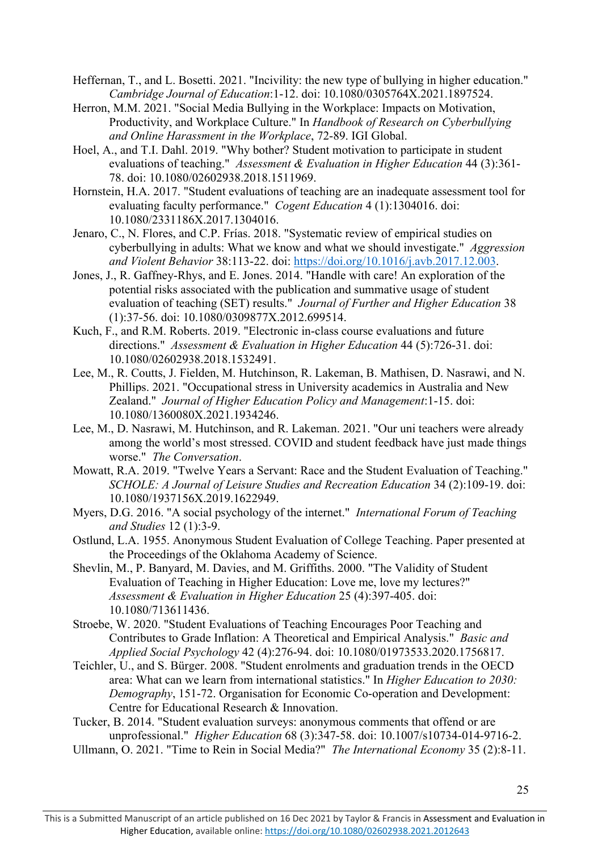- Heffernan, T., and L. Bosetti. 2021. "Incivility: the new type of bullying in higher education." *Cambridge Journal of Education*:1-12. doi: 10.1080/0305764X.2021.1897524.
- Herron, M.M. 2021. "Social Media Bullying in the Workplace: Impacts on Motivation, Productivity, and Workplace Culture." In *Handbook of Research on Cyberbullying and Online Harassment in the Workplace*, 72-89. IGI Global.
- Hoel, A., and T.I. Dahl. 2019. "Why bother? Student motivation to participate in student evaluations of teaching." *Assessment & Evaluation in Higher Education* 44 (3):361- 78. doi: 10.1080/02602938.2018.1511969.
- Hornstein, H.A. 2017. "Student evaluations of teaching are an inadequate assessment tool for evaluating faculty performance." *Cogent Education* 4 (1):1304016. doi: 10.1080/2331186X.2017.1304016.
- Jenaro, C., N. Flores, and C.P. Frías. 2018. "Systematic review of empirical studies on cyberbullying in adults: What we know and what we should investigate." *Aggression and Violent Behavior* 38:113-22. doi: [https://doi.org/10.1016/j.avb.2017.12.003.](https://doi.org/10.1016/j.avb.2017.12.003)
- Jones, J., R. Gaffney-Rhys, and E. Jones. 2014. "Handle with care! An exploration of the potential risks associated with the publication and summative usage of student evaluation of teaching (SET) results." *Journal of Further and Higher Education* 38 (1):37-56. doi: 10.1080/0309877X.2012.699514.
- Kuch, F., and R.M. Roberts. 2019. "Electronic in-class course evaluations and future directions." *Assessment & Evaluation in Higher Education* 44 (5):726-31. doi: 10.1080/02602938.2018.1532491.
- Lee, M., R. Coutts, J. Fielden, M. Hutchinson, R. Lakeman, B. Mathisen, D. Nasrawi, and N. Phillips. 2021. "Occupational stress in University academics in Australia and New Zealand." *Journal of Higher Education Policy and Management*:1-15. doi: 10.1080/1360080X.2021.1934246.
- Lee, M., D. Nasrawi, M. Hutchinson, and R. Lakeman. 2021. "Our uni teachers were already among the world's most stressed. COVID and student feedback have just made things worse." *The Conversation*.
- Mowatt, R.A. 2019. "Twelve Years a Servant: Race and the Student Evaluation of Teaching." *SCHOLE: A Journal of Leisure Studies and Recreation Education* 34 (2):109-19. doi: 10.1080/1937156X.2019.1622949.
- Myers, D.G. 2016. "A social psychology of the internet." *International Forum of Teaching and Studies* 12 (1):3-9.
- Ostlund, L.A. 1955. Anonymous Student Evaluation of College Teaching. Paper presented at the Proceedings of the Oklahoma Academy of Science.
- Shevlin, M., P. Banyard, M. Davies, and M. Griffiths. 2000. "The Validity of Student Evaluation of Teaching in Higher Education: Love me, love my lectures?" *Assessment & Evaluation in Higher Education* 25 (4):397-405. doi: 10.1080/713611436.
- Stroebe, W. 2020. "Student Evaluations of Teaching Encourages Poor Teaching and Contributes to Grade Inflation: A Theoretical and Empirical Analysis." *Basic and Applied Social Psychology* 42 (4):276-94. doi: 10.1080/01973533.2020.1756817.
- Teichler, U., and S. Bürger. 2008. "Student enrolments and graduation trends in the OECD area: What can we learn from international statistics." In *Higher Education to 2030: Demography*, 151-72. Organisation for Economic Co-operation and Development: Centre for Educational Research & Innovation.
- Tucker, B. 2014. "Student evaluation surveys: anonymous comments that offend or are unprofessional." *Higher Education* 68 (3):347-58. doi: 10.1007/s10734-014-9716-2.
- Ullmann, O. 2021. "Time to Rein in Social Media?" *The International Economy* 35 (2):8-11.

This is a Submitted Manuscript of an article published on 16 Dec 2021 by Taylor & Francis in Assessment and Evaluation in Higher Education, available online:<https://doi.org/10.1080/02602938.2021.2012643>